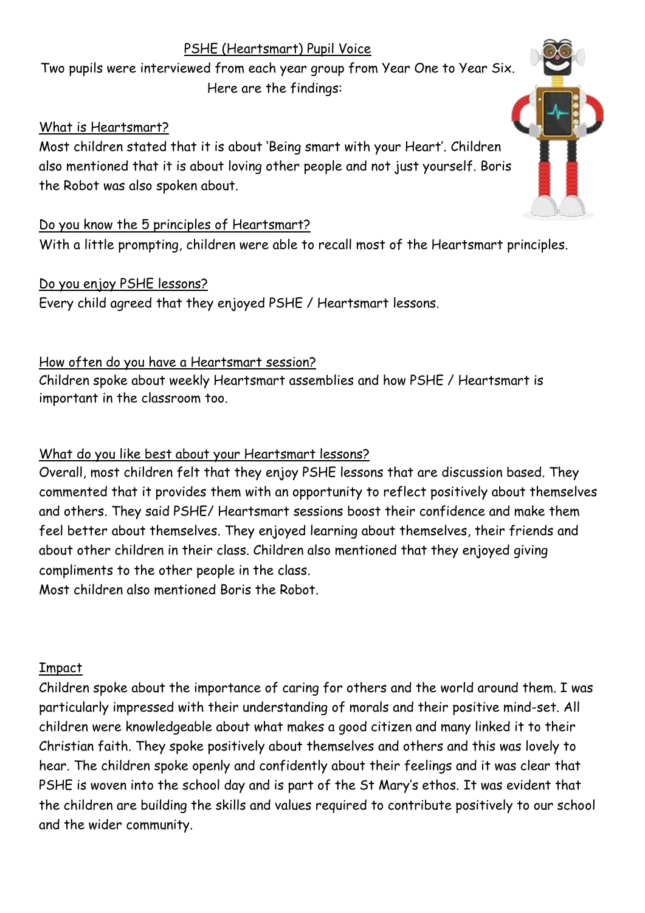# PSHE (Heartsmart) Pupil Voice

Two pupils were interviewed from each year group from Year One to Year Six. Here are the findings:

## What is Heartsmart?

Most children stated that it is about 'Being smart with your Heart'. Children also mentioned that it is about loving other people and not just yourself. Boris the Robot was also spoken about.

### Do you know the 5 principles of Heartsmart?

With a little prompting, children were able to recall most of the Heartsmart principles.

## Do you enjoy PSHE lessons?

Every child agreed that they enjoyed PSHE / Heartsmart lessons.

### How often do you have a Heartsmart session?

Children spoke about weekly Heartsmart assemblies and how PSHE / Heartsmart is important in the classroom too.

# What do you like best about your Heartsmart lessons?

Overall, most children felt that they enjoy PSHE lessons that are discussion based. They commented that it provides them with an opportunity to reflect positively about themselves and others. They said PSHE/ Heartsmart sessions boost their confidence and make them feel better about themselves. They enjoyed learning about themselves, their friends and about other children in their class. Children also mentioned that they enjoyed giving compliments to the other people in the class.

Most children also mentioned Boris the Robot.

### Impact

Children spoke about the importance of caring for others and the world around them. I was particularly impressed with their understanding of morals and their positive mind-set. All children were knowledgeable about what makes a good citizen and many linked it to their Christian faith. They spoke positively about themselves and others and this was lovely to hear. The children spoke openly and confidently about their feelings and it was clear that PSHE is woven into the school day and is part of the St Mary's ethos. It was evident that the children are building the skills and values required to contribute positively to our school and the wider community.